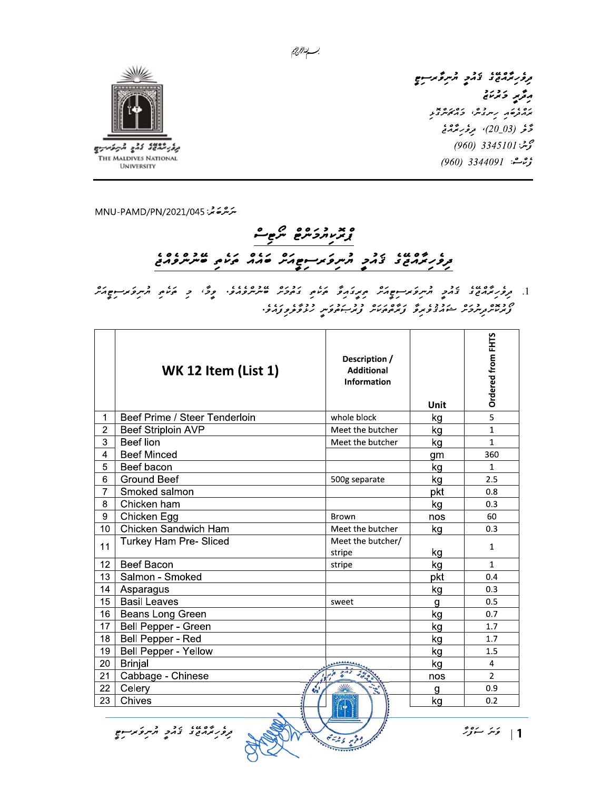

مرؤر برمان تزمر مركز برسوم رقرير وترتاج ים .<br>ממתסו תיית ביתי בריות ובת دَّنْر (20\_20)، مِرْفَرِبَّرْدَنْج گەشنە: 3345101 (960) ې<sub>ۋ</sub>م شە: 3344091 (*960)* 

سَرَسْرَحَہ شر: MNU-PAMD/PN/2021/045

## وبدروروه مرجع ו שפטו זר התפתחופאת שהה הים ני שרופתם

بسسا الزاريج

، بروبرمند، برد و مرد عرضه عدد مرد از برد و بروبرد و برد.<br>1. بروبرمند تامی مرد عرضه عدد میگرد و عرض می مرد می از این این مرد برد و برای می از این مرد از این مرد از این ס באס בינס ונכן זי נוזיס נודי בבינס בינס ונגדו.<br>צונות בנוקסים המהצפות פונססטים צוניים פות נופקס פנוסי

|                 | <b>WK 12 Item (List 1)</b>    | Description /<br><b>Additional</b><br><b>Information</b> | Unit | Ordered from FHTS |
|-----------------|-------------------------------|----------------------------------------------------------|------|-------------------|
| 1               | Beef Prime / Steer Tenderloin | whole block                                              | kg   | $\overline{5}$    |
| $\overline{2}$  | <b>Beef Striploin AVP</b>     | Meet the butcher                                         | kg   | $\mathbf{1}$      |
| 3               | Beef lion                     | Meet the butcher                                         | kg   | $\mathbf{1}$      |
| $\overline{4}$  | <b>Beef Minced</b>            |                                                          | qm   | 360               |
| 5               | Beef bacon                    |                                                          | kg   | $\mathbf{1}$      |
| 6               | <b>Ground Beef</b>            | 500g separate                                            | kg   | 2.5               |
| $\overline{7}$  | Smoked salmon                 |                                                          | pkt  | 0.8               |
| 8               | Chicken ham                   |                                                          | kg   | 0.3               |
| 9               | Chicken Egg                   | Brown                                                    | nos  | 60                |
| 10 <sup>1</sup> | Chicken Sandwich Ham          | Meet the butcher                                         | kg   | 0.3               |
| 11              | Turkey Ham Pre- Sliced        | Meet the butcher/                                        |      | $\mathbf{1}$      |
|                 |                               | stripe                                                   | kg   |                   |
| 12              | Beef Bacon                    | stripe                                                   | kg   | $\mathbf{1}$      |
| 13              | Salmon - Smoked               |                                                          | pkt  | 0.4               |
| 14              | Asparagus                     |                                                          | kg   | 0.3               |
| 15              | <b>Basil Leaves</b>           | sweet                                                    | g    | 0.5               |
| 16              | Beans Long Green              |                                                          | kg   | 0.7               |
| 17              | Bell Pepper - Green           |                                                          | kg   | 1.7               |
| 18              | Bell Pepper - Red             |                                                          | kg   | 1.7               |
| 19              | <b>Bell Pepper - Yellow</b>   |                                                          | kg   | 1.5               |
| 20              | <b>Brinjal</b>                |                                                          | kg   | 4                 |
| 21              | Cabbage - Chinese             |                                                          | nos  | $\overline{2}$    |
| 22              | Celery                        |                                                          | q    | 0.9               |
| 23              | Chives                        |                                                          | kg   | 0.2               |
|                 |                               |                                                          |      |                   |

3225 481

ر ده به ده وروند و به در در سوم بر سوم<br>در در بر در در در بر در بر در در در بر در بر در بر در بر در بر در بر در بر در بر در بر در بر در بر

ا - قَسَرُ سَنَوْرٌ  $|1|$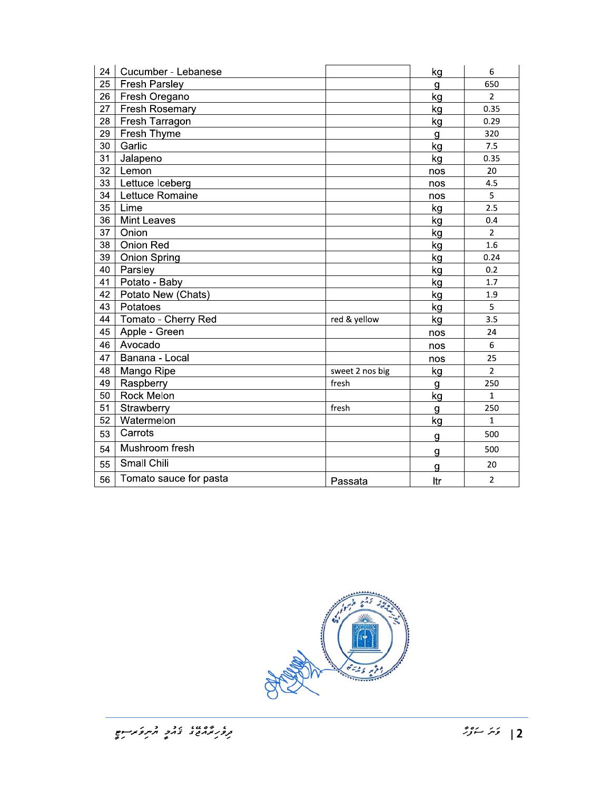| 24 | Cucumber - Lebanese    |                 | kg           | 6              |
|----|------------------------|-----------------|--------------|----------------|
| 25 | <b>Fresh Parsley</b>   |                 | $\mathbf{g}$ | 650            |
| 26 | Fresh Oregano          |                 | kg           | $\overline{2}$ |
| 27 | <b>Fresh Rosemary</b>  |                 | kg           | 0.35           |
| 28 | Fresh Tarragon         |                 | kg           | 0.29           |
| 29 | Fresh Thyme            |                 | g            | 320            |
| 30 | Garlic                 |                 | kg           | 7.5            |
| 31 | Jalapeno               |                 | kg           | 0.35           |
| 32 | Lemon                  |                 | nos          | 20             |
| 33 | Lettuce Iceberg        |                 | nos          | 4.5            |
| 34 | Lettuce Romaine        |                 | nos          | 5              |
| 35 | Lime                   |                 | kg           | 2.5            |
| 36 | <b>Mint Leaves</b>     |                 | kg           | 0.4            |
| 37 | Onion                  |                 | kg           | $\overline{2}$ |
| 38 | Onion Red              |                 | kg           | 1.6            |
| 39 | <b>Onion Spring</b>    |                 | kg           | 0.24           |
| 40 | Parsley                |                 | kg           | 0.2            |
| 41 | Potato - Baby          |                 | kg           | 1.7            |
| 42 | Potato New (Chats)     |                 | kg           | 1.9            |
| 43 | Potatoes               |                 | kg           | 5              |
| 44 | Tomato - Cherry Red    | red & yellow    | kg           | 3.5            |
| 45 | Apple - Green          |                 | nos          | 24             |
| 46 | Avocado                |                 | nos          | 6              |
| 47 | Banana - Local         |                 | nos          | 25             |
| 48 | Mango Ripe             | sweet 2 nos big | kg           | $\overline{2}$ |
| 49 | Raspberry              | fresh           | g            | 250            |
| 50 | Rock Melon             |                 | kg           | $\mathbf{1}$   |
| 51 | Strawberry             | fresh           | g            | 250            |
| 52 | Watermelon             |                 | kg           | $\mathbf{1}$   |
| 53 | Carrots                |                 | g            | 500            |
| 54 | Mushroom fresh         |                 | g            | 500            |
| 55 | Small Chili            |                 | g            | 20             |
| 56 | Tomato sauce for pasta | Passata         | Itr          | $\overline{2}$ |

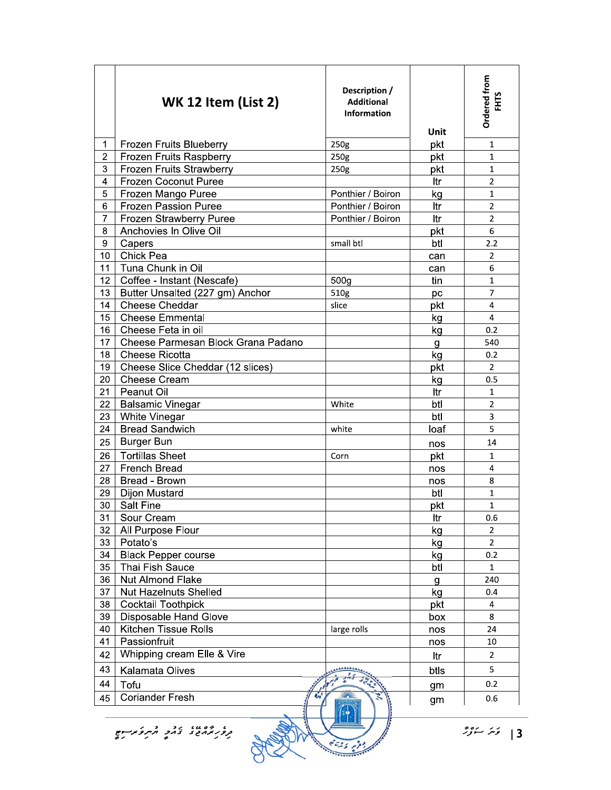|                                                                                               | <b>WK 12 Item (List 2)</b>         | Description /<br><b>Additional</b><br><b>Information</b> | Unit | Ordered from<br><b>FHTS</b> |
|-----------------------------------------------------------------------------------------------|------------------------------------|----------------------------------------------------------|------|-----------------------------|
| 1                                                                                             | <b>Frozen Fruits Blueberry</b>     | 250g                                                     | pkt  | $\mathbf{1}$                |
| 2                                                                                             | Frozen Fruits Raspberry            | 250g                                                     | pkt  | 1                           |
| 3                                                                                             | Frozen Fruits Strawberry           | 250g                                                     | pkt  | 1                           |
| 4                                                                                             | <b>Frozen Coconut Puree</b>        |                                                          | ltr  | $\overline{2}$              |
| 5                                                                                             | Frozen Mango Puree                 | Ponthier / Boiron                                        | kg   | 1                           |
| 6                                                                                             | <b>Frozen Passion Puree</b>        | Ponthier / Boiron                                        | ltr  | $\overline{2}$              |
| 7                                                                                             | Frozen Strawberry Puree            | Ponthier / Boiron                                        | ltr  | $\overline{2}$              |
| 8                                                                                             | Anchovies In Olive Oil             |                                                          | pkt  | 6                           |
| $\boldsymbol{9}$                                                                              | Capers                             | small btl                                                | btl  | 2.2                         |
| 10                                                                                            | Chick Pea                          |                                                          | can  | 2                           |
| 11                                                                                            | Tuna Chunk in Oil                  |                                                          | can  | 6                           |
| 12                                                                                            | Coffee - Instant (Nescafe)         | 500 <sub>g</sub>                                         | tin  | $\mathbf{1}$                |
| 13                                                                                            | Butter Unsalted (227 gm) Anchor    | 510g                                                     | pc   | 7                           |
| 14                                                                                            | Cheese Cheddar                     | slice                                                    | pkt  | 4                           |
| 15                                                                                            | <b>Cheese Emmental</b>             |                                                          | kg   | 4                           |
| 16                                                                                            | Cheese Feta in oil                 |                                                          | kg   | 0.2                         |
| 17                                                                                            | Cheese Parmesan Block Grana Padano |                                                          | g    | 540                         |
| 18                                                                                            | Cheese Ricotta                     |                                                          | kg   | 0.2                         |
| 19                                                                                            | Cheese Slice Cheddar (12 slices)   |                                                          | pkt  | $\overline{2}$              |
| 20                                                                                            | <b>Cheese Cream</b>                |                                                          | kg   | 0.5                         |
| 21                                                                                            | Peanut Oil                         |                                                          | ltr  | 1                           |
| 22                                                                                            | <b>Balsamic Vinegar</b>            | White                                                    | btl  | $\overline{2}$              |
| 23                                                                                            | White Vinegar                      |                                                          | btl  | 3                           |
| 24                                                                                            | <b>Bread Sandwich</b>              | white                                                    | loaf | 5                           |
| 25                                                                                            | <b>Burger Bun</b>                  |                                                          | nos  | 14                          |
| 26                                                                                            | <b>Tortillas Sheet</b>             | Corn                                                     | pkt  | $\mathbf{1}$                |
| 27                                                                                            | <b>French Bread</b>                |                                                          | nos  | 4                           |
| 28                                                                                            | Bread - Brown                      |                                                          | nos  | 8                           |
| 29                                                                                            | <b>Dijon Mustard</b>               |                                                          | btl  | $\mathbf{1}$                |
| 30                                                                                            | <b>Salt Fine</b>                   |                                                          | pkt  | 1                           |
| 31                                                                                            | Sour Cream                         |                                                          | ltr  | 0.6                         |
| 32                                                                                            | All Purpose Flour                  |                                                          | kg   | $\overline{2}$              |
| 33                                                                                            | Potato's                           |                                                          | kg   | $\overline{2}$              |
| 34                                                                                            | <b>Black Pepper course</b>         |                                                          | kg   | 0.2                         |
| 35                                                                                            | Thai Fish Sauce                    |                                                          | btl  | $\mathbf{1}$                |
| 36                                                                                            | <b>Nut Almond Flake</b>            |                                                          | g    | 240                         |
| 37                                                                                            | <b>Nut Hazelnuts Shelled</b>       |                                                          | kg   | 0.4                         |
| 38                                                                                            | <b>Cocktail Toothpick</b>          |                                                          | pkt  | 4                           |
| 39                                                                                            | Disposable Hand Glove              |                                                          | box  | 8                           |
| 40                                                                                            | <b>Kitchen Tissue Rolls</b>        | large rolls                                              | nos  | 24                          |
| 41                                                                                            | Passionfruit                       |                                                          | nos  | 10                          |
| 42                                                                                            | Whipping cream Elle & Vire         |                                                          | ltr  | $\mathbf{2}$                |
| 43                                                                                            | Kalamata Olives                    |                                                          | btls | 5                           |
| 44                                                                                            | Tofu                               |                                                          |      | 0.2                         |
| 45                                                                                            | <b>Coriander Fresh</b>             |                                                          | gm   | 0.6                         |
| gm<br>$\left  \begin{array}{cc} \hat{z} & \hat{z} \\ \hat{z} & \hat{z} \end{array} \right  =$ |                                    |                                                          |      |                             |
|                                                                                               |                                    |                                                          |      |                             |

 $\frac{1}{2}$   $\frac{1}{2}$   $\frac{1}{2}$   $\frac{1}{2}$   $\frac{1}{2}$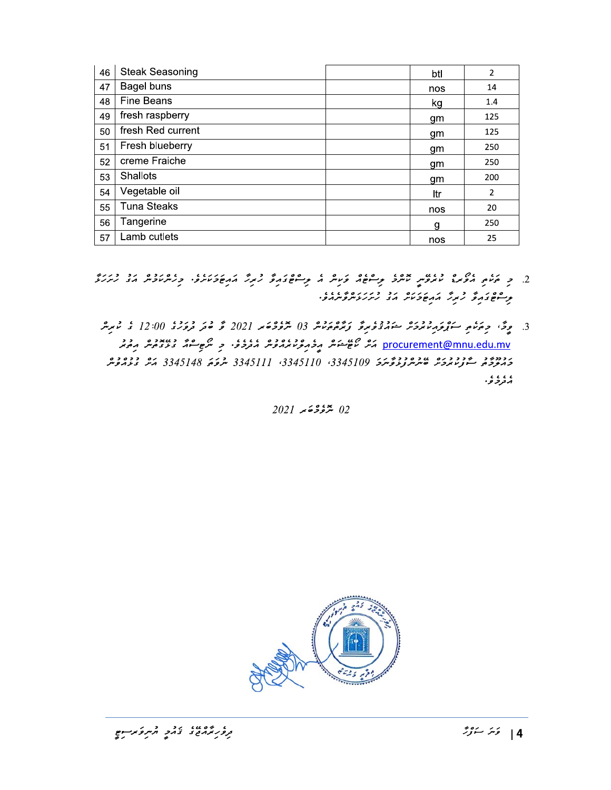| 46 | <b>Steak Seasoning</b> | btl | $\overline{2}$ |
|----|------------------------|-----|----------------|
| 47 | Bagel buns             | nos | 14             |
| 48 | <b>Fine Beans</b>      | kg  | 1.4            |
| 49 | fresh raspberry        | gm  | 125            |
| 50 | fresh Red current      | gm  | 125            |
| 51 | Fresh blueberry        | gm  | 250            |
| 52 | creme Fraiche          | gm  | 250            |
| 53 | <b>Shallots</b>        | gm  | 200            |
| 54 | Vegetable oil          | ltr | $\overline{2}$ |
| 55 | <b>Tuna Steaks</b>     | nos | 20             |
| 56 | Tangerine              | g   | 250            |
| 57 | Lamb cutlets           | nos | 25             |

- 
- <u>procurement@mnu.edu.mv</u> ک<sup>ی</sup>ژ گاھ شوَ گھ پر قرم کرو دی گروم کر دی گروم سو کرد کرد کرد کرد کرد کرد کرد.<br>Drocurement@mnu.edu.mv ر در در در در در در در در در در دور 3345109 3345110 ، 1345111 شرق 3345148 کمیل در در در در در در در در در در د ، ، ، ، ، .<br>شعر فر قو .

 $2021$  جۇڭ ھەمد